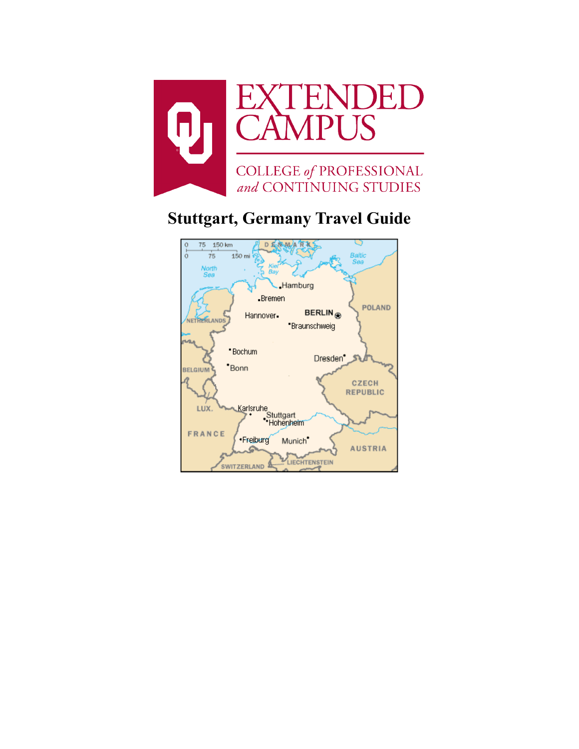

# **Stuttgart, Germany Travel Guide**

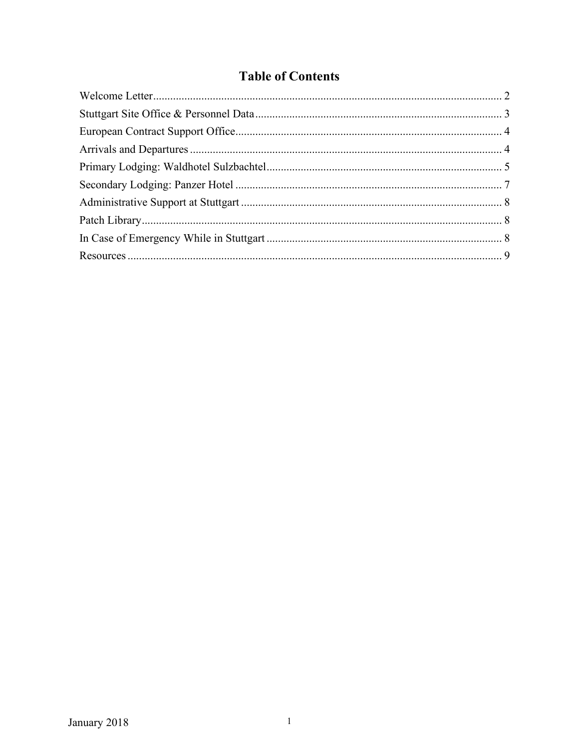# **Table of Contents**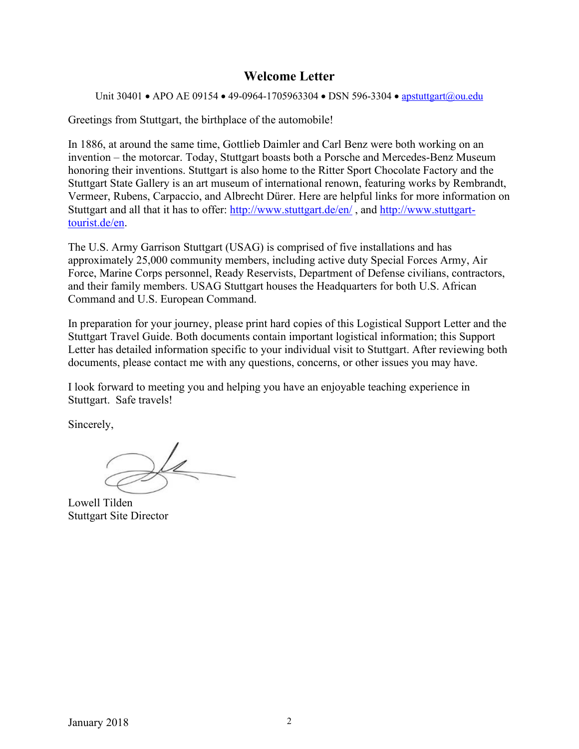### **Welcome Letter**

<span id="page-2-0"></span>Unit 30401 • APO AE 09154 • 49-0964-1705963304 • DSN 596-3304 • [apstuttgart@ou.edu](mailto:apstuttgart@ou.edu)

Greetings from Stuttgart, the birthplace of the automobile!

In 1886, at around the same time, Gottlieb Daimler and Carl Benz were both working on an invention – the motorcar. Today, Stuttgart boasts both a Porsche and Mercedes-Benz Museum honoring their inventions. Stuttgart is also home to the Ritter Sport Chocolate Factory and the Stuttgart State Gallery is an art museum of international renown, featuring works by Rembrandt, Vermeer, Rubens, Carpaccio, and Albrecht Dürer. Here are helpful links for more information on Stuttgart and all that it has to offer:<http://www.stuttgart.de/en/> , and [http://www.stuttgart](http://www.stuttgart-tourist.de/en)[tourist.de/en.](http://www.stuttgart-tourist.de/en)

The U.S. Army Garrison Stuttgart (USAG) is comprised of five installations and has approximately 25,000 community members, including active duty Special Forces Army, Air Force, Marine Corps personnel, Ready Reservists, Department of Defense civilians, contractors, and their family members. USAG Stuttgart houses the Headquarters for both U.S. African Command and U.S. European Command.

In preparation for your journey, please print hard copies of this Logistical Support Letter and the Stuttgart Travel Guide. Both documents contain important logistical information; this Support Letter has detailed information specific to your individual visit to Stuttgart. After reviewing both documents, please contact me with any questions, concerns, or other issues you may have.

I look forward to meeting you and helping you have an enjoyable teaching experience in Stuttgart. Safe travels!

Sincerely,

Lowell Tilden Stuttgart Site Director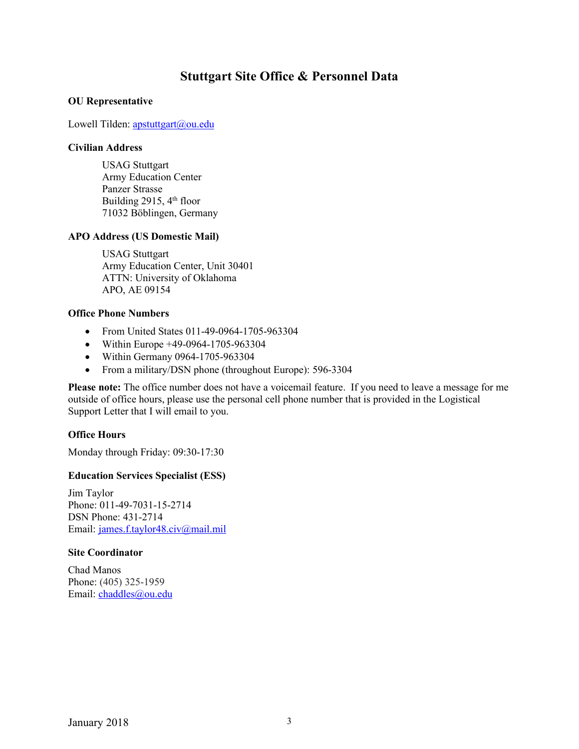### **Stuttgart Site Office & Personnel Data**

#### <span id="page-3-0"></span>**OU Representative**

Lowell Tilden: [apstuttgart@ou.edu](mailto:apstuttgart@ou.edu)

#### **Civilian Address**

USAG Stuttgart Army Education Center Panzer Strasse Building 2915,  $4<sup>th</sup>$  floor 71032 Böblingen, Germany

#### **APO Address (US Domestic Mail)**

USAG Stuttgart Army Education Center, Unit 30401 ATTN: University of Oklahoma APO, AE 09154

#### **Office Phone Numbers**

- From United States 011-49-0964-1705-963304
- Within Europe +49-0964-1705-963304
- Within Germany 0964-1705-963304
- From a military/DSN phone (throughout Europe): 596-3304

**Please note:** The office number does not have a voicemail feature. If you need to leave a message for me outside of office hours, please use the personal cell phone number that is provided in the Logistical Support Letter that I will email to you.

#### **Office Hours**

Monday through Friday: 09:30-17:30

#### **Education Services Specialist (ESS)**

Jim Taylor Phone: 011-49-7031-15-2714 DSN Phone: 431-2714 Email: [james.f.taylor48.civ@mail.mil](mailto:james.f.taylor48.civ@mail.mil)

#### **Site Coordinator**

Chad Manos Phone: (405) 325-1959 Email: [chaddles@ou.edu](mailto:chaddles@ou.edu)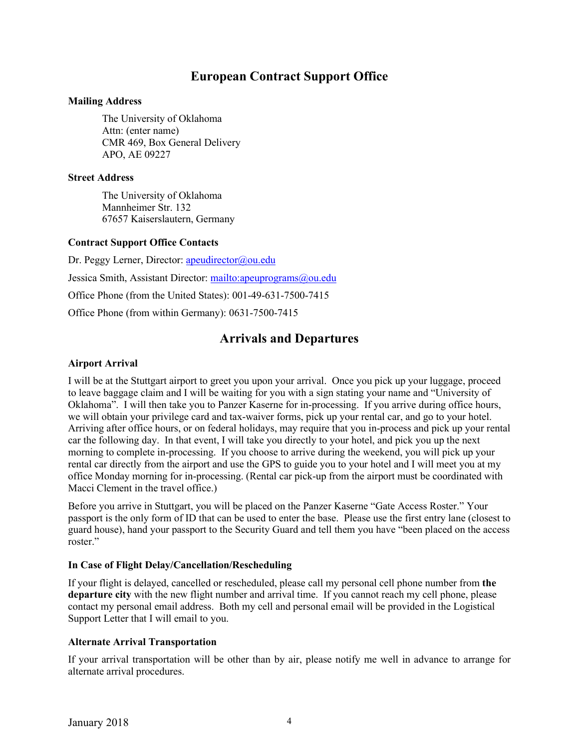# **European Contract Support Office**

#### <span id="page-4-0"></span>**Mailing Address**

The University of Oklahoma Attn: (enter name) CMR 469, Box General Delivery APO, AE 09227

#### **Street Address**

The University of Oklahoma Mannheimer Str. 132 67657 Kaiserslautern, Germany

#### **Contract Support Office Contacts**

Dr. Peggy Lerner, Director: [apeudirector@ou.edu](mailto:apeudirector@ou.edu) Jessica Smith, Assistant Director:<mailto:apeuprograms@ou.edu> Office Phone (from the United States): 001-49-631-7500-7415

<span id="page-4-1"></span>Office Phone (from within Germany): 0631-7500-7415

# **Arrivals and Departures**

#### **Airport Arrival**

I will be at the Stuttgart airport to greet you upon your arrival. Once you pick up your luggage, proceed to leave baggage claim and I will be waiting for you with a sign stating your name and "University of Oklahoma". I will then take you to Panzer Kaserne for in-processing. If you arrive during office hours, we will obtain your privilege card and tax-waiver forms, pick up your rental car, and go to your hotel. Arriving after office hours, or on federal holidays, may require that you in-process and pick up your rental car the following day. In that event, I will take you directly to your hotel, and pick you up the next morning to complete in-processing. If you choose to arrive during the weekend, you will pick up your rental car directly from the airport and use the GPS to guide you to your hotel and I will meet you at my office Monday morning for in-processing. (Rental car pick-up from the airport must be coordinated with Macci Clement in the travel office.)

Before you arrive in Stuttgart, you will be placed on the Panzer Kaserne "Gate Access Roster." Your passport is the only form of ID that can be used to enter the base. Please use the first entry lane (closest to guard house), hand your passport to the Security Guard and tell them you have "been placed on the access roster."

#### **In Case of Flight Delay/Cancellation/Rescheduling**

If your flight is delayed, cancelled or rescheduled, please call my personal cell phone number from **the departure city** with the new flight number and arrival time. If you cannot reach my cell phone, please contact my personal email address. Both my cell and personal email will be provided in the Logistical Support Letter that I will email to you.

#### **Alternate Arrival Transportation**

If your arrival transportation will be other than by air, please notify me well in advance to arrange for alternate arrival procedures.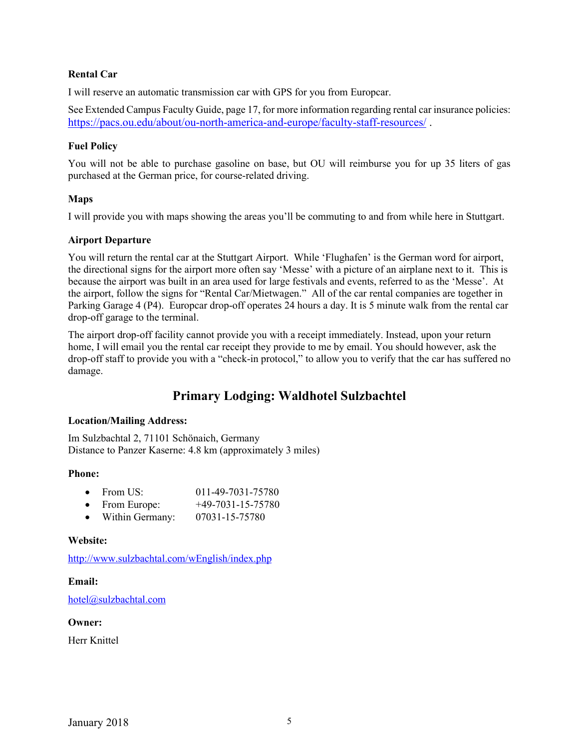#### **Rental Car**

I will reserve an automatic transmission car with GPS for you from Europcar.

See Extended Campus Faculty Guide, page 17, for more information regarding rental car insurance policies: <https://pacs.ou.edu/about/ou-north-america-and-europe/faculty-staff-resources/> .

#### **Fuel Policy**

You will not be able to purchase gasoline on base, but OU will reimburse you for up 35 liters of gas purchased at the German price, for course-related driving.

#### **Maps**

I will provide you with maps showing the areas you'll be commuting to and from while here in Stuttgart.

#### **Airport Departure**

You will return the rental car at the Stuttgart Airport. While 'Flughafen' is the German word for airport, the directional signs for the airport more often say 'Messe' with a picture of an airplane next to it. This is because the airport was built in an area used for large festivals and events, referred to as the 'Messe'. At the airport, follow the signs for "Rental Car/Mietwagen." All of the car rental companies are together in Parking Garage 4 (P4). Europcar drop-off operates 24 hours a day. It is 5 minute walk from the rental car drop-off garage to the terminal.

The airport drop-off facility cannot provide you with a receipt immediately. Instead, upon your return home, I will email you the rental car receipt they provide to me by email. You should however, ask the drop-off staff to provide you with a "check-in protocol," to allow you to verify that the car has suffered no damage.

# **Primary Lodging: Waldhotel Sulzbachtel**

#### <span id="page-5-0"></span>**Location/Mailing Address:**

Im Sulzbachtal 2, 71101 Schönaich, Germany Distance to Panzer Kaserne: 4.8 km (approximately 3 miles)

#### **Phone:**

| From US: | 011-49-7031-75780 |
|----------|-------------------|
|----------|-------------------|

- From Europe: +49-7031-15-75780
- Within Germany: 07031-15-75780

#### **Website:**

<http://www.sulzbachtal.com/wEnglish/index.php>

#### **Email:**

[hotel@sulzbachtal.com](mailto:hotel@sulzbachtal.com)

#### **Owner:**

Herr Knittel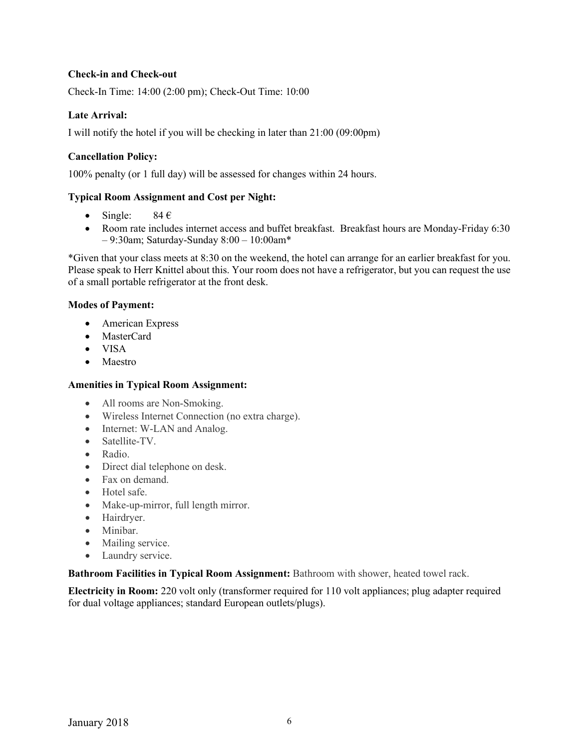#### **Check-in and Check-out**

Check-In Time: 14:00 (2:00 pm); Check-Out Time: 10:00

#### **Late Arrival:**

I will notify the hotel if you will be checking in later than 21:00 (09:00pm)

#### **Cancellation Policy:**

100% penalty (or 1 full day) will be assessed for changes within 24 hours.

#### **Typical Room Assignment and Cost per Night:**

- Single:  $84 \in$
- Room rate includes internet access and buffet breakfast. Breakfast hours are Monday-Friday 6:30 – 9:30am; Saturday-Sunday 8:00 – 10:00am\*

\*Given that your class meets at 8:30 on the weekend, the hotel can arrange for an earlier breakfast for you. Please speak to Herr Knittel about this. Your room does not have a refrigerator, but you can request the use of a small portable refrigerator at the front desk.

#### **Modes of Payment:**

- American Express
- MasterCard
- VISA
- Maestro

#### **Amenities in Typical Room Assignment:**

- All rooms are Non-Smoking.
- Wireless Internet Connection (no extra charge).
- Internet: W-LAN and Analog.
- Satellite-TV.
- Radio.
- Direct dial telephone on desk.
- Fax on demand.
- Hotel safe.
- Make-up-mirror, full length mirror.
- Hairdryer.
- Minibar.
- Mailing service.
- Laundry service.

**Bathroom Facilities in Typical Room Assignment:** Bathroom with shower, heated towel rack.

**Electricity in Room:** 220 volt only (transformer required for 110 volt appliances; plug adapter required for dual voltage appliances; standard European outlets/plugs).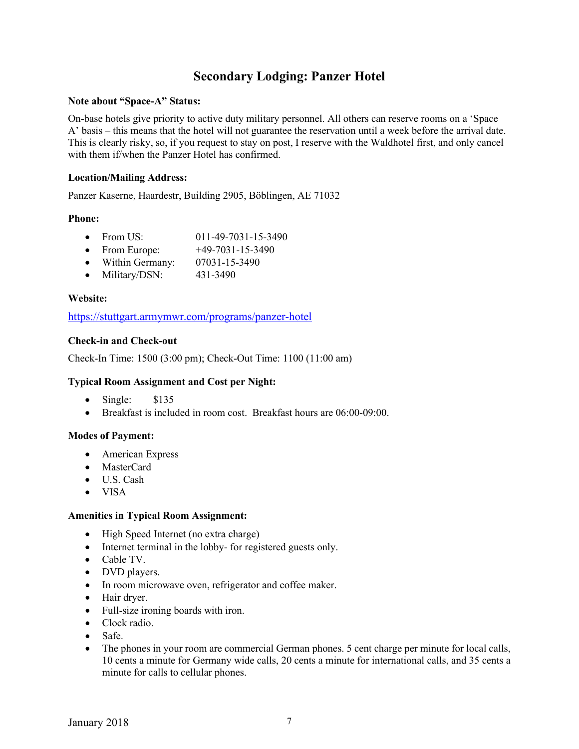# **Secondary Lodging: Panzer Hotel**

#### <span id="page-7-0"></span>**Note about "Space-A" Status:**

On-base hotels give priority to active duty military personnel. All others can reserve rooms on a 'Space A' basis – this means that the hotel will not guarantee the reservation until a week before the arrival date. This is clearly risky, so, if you request to stay on post, I reserve with the Waldhotel first, and only cancel with them if/when the Panzer Hotel has confirmed.

#### **Location/Mailing Address:**

Panzer Kaserne, Haardestr, Building 2905, Böblingen, AE 71032

#### **Phone:**

- From US: 011-49-7031-15-3490
- From Europe:  $+49-7031-15-3490$
- Within Germany: 07031-15-3490
- Military/DSN: 431-3490

#### **Website:**

<https://stuttgart.armymwr.com/programs/panzer-hotel>

#### **Check-in and Check-out**

Check-In Time: 1500 (3:00 pm); Check-Out Time: 1100 (11:00 am)

#### **Typical Room Assignment and Cost per Night:**

- Single: \$135
- Breakfast is included in room cost. Breakfast hours are 06:00-09:00.

#### **Modes of Payment:**

- American Express
- MasterCard
- U.S. Cash
- VISA

#### **Amenities in Typical Room Assignment:**

- High Speed Internet (no extra charge)
- Internet terminal in the lobby- for registered guests only.
- Cable TV.
- DVD players.
- In room microwave oven, refrigerator and coffee maker.
- Hair dryer.
- Full-size ironing boards with iron.
- Clock radio.
- Safe.
- The phones in your room are commercial German phones. 5 cent charge per minute for local calls, 10 cents a minute for Germany wide calls, 20 cents a minute for international calls, and 35 cents a minute for calls to cellular phones.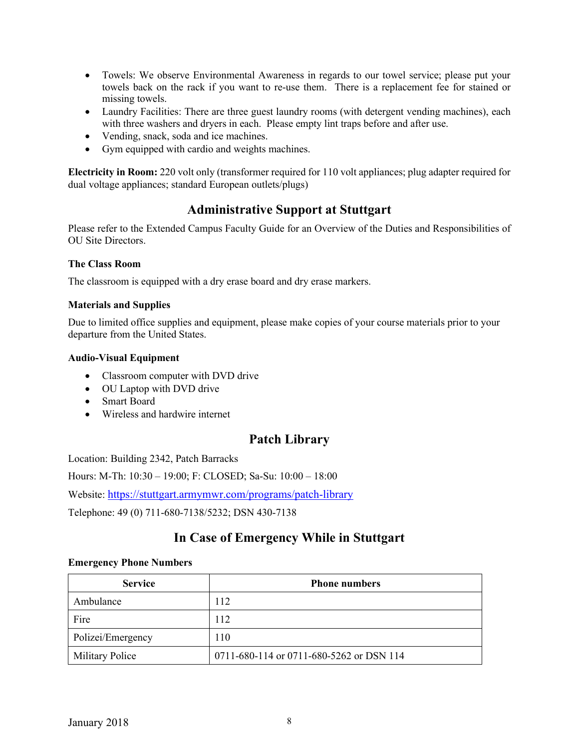- Towels: We observe Environmental Awareness in regards to our towel service; please put your towels back on the rack if you want to re-use them. There is a replacement fee for stained or missing towels.
- Laundry Facilities: There are three guest laundry rooms (with detergent vending machines), each with three washers and dryers in each. Please empty lint traps before and after use.
- Vending, snack, soda and ice machines.
- Gym equipped with cardio and weights machines.

<span id="page-8-0"></span>**Electricity in Room:** 220 volt only (transformer required for 110 volt appliances; plug adapter required for dual voltage appliances; standard European outlets/plugs)

# **Administrative Support at Stuttgart**

Please refer to the Extended Campus Faculty Guide for an Overview of the Duties and Responsibilities of OU Site Directors.

#### **The Class Room**

The classroom is equipped with a dry erase board and dry erase markers.

#### **Materials and Supplies**

Due to limited office supplies and equipment, please make copies of your course materials prior to your departure from the United States.

#### **Audio-Visual Equipment**

- Classroom computer with DVD drive
- OU Laptop with DVD drive
- Smart Board
- <span id="page-8-1"></span>• Wireless and hardwire internet

# **Patch Library**

Location: Building 2342, Patch Barracks

Hours: M-Th: 10:30 – 19:00; F: CLOSED; Sa-Su: 10:00 – 18:00

Website:<https://stuttgart.armymwr.com/programs/patch-library>

<span id="page-8-2"></span>Telephone: 49 (0) 711-680-7138/5232; DSN 430-7138

# **In Case of Emergency While in Stuttgart**

#### **Emergency Phone Numbers**

| <b>Service</b>         | <b>Phone numbers</b>                     |
|------------------------|------------------------------------------|
| Ambulance              | 112                                      |
| Fire                   | 112                                      |
| Polizei/Emergency      | 110                                      |
| <b>Military Police</b> | 0711-680-114 or 0711-680-5262 or DSN 114 |